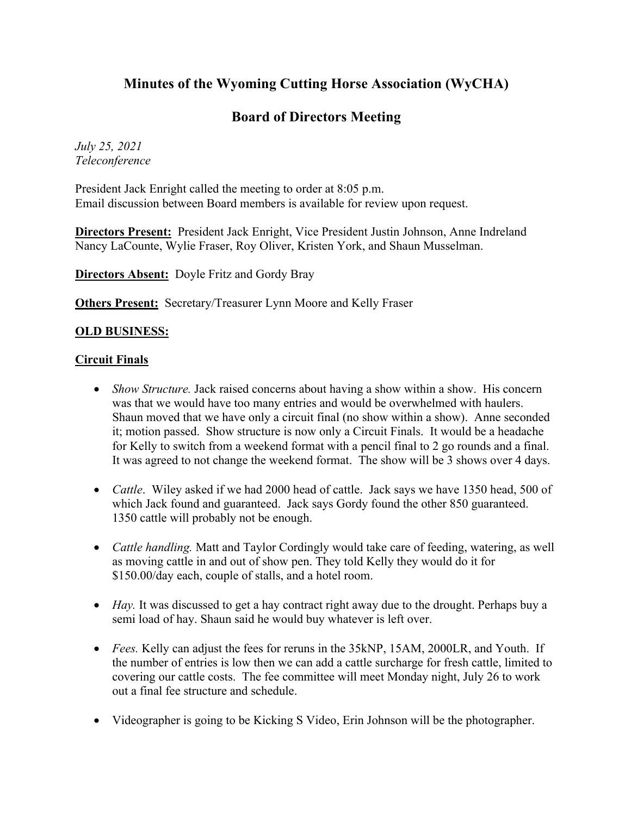## **Minutes of the Wyoming Cutting Horse Association (WyCHA)**

## **Board of Directors Meeting**

*July 25, 2021 Teleconference*

President Jack Enright called the meeting to order at 8:05 p.m. Email discussion between Board members is available for review upon request.

**Directors Present:** President Jack Enright, Vice President Justin Johnson, Anne Indreland Nancy LaCounte, Wylie Fraser, Roy Oliver, Kristen York, and Shaun Musselman.

**Directors Absent:** Doyle Fritz and Gordy Bray

**Others Present:** Secretary/Treasurer Lynn Moore and Kelly Fraser

## **OLD BUSINESS:**

## **Circuit Finals**

- *Show Structure.* Jack raised concerns about having a show within a show. His concern was that we would have too many entries and would be overwhelmed with haulers. Shaun moved that we have only a circuit final (no show within a show). Anne seconded it; motion passed. Show structure is now only a Circuit Finals. It would be a headache for Kelly to switch from a weekend format with a pencil final to 2 go rounds and a final. It was agreed to not change the weekend format. The show will be 3 shows over 4 days.
- *Cattle*. Wiley asked if we had 2000 head of cattle. Jack says we have 1350 head, 500 of which Jack found and guaranteed. Jack says Gordy found the other 850 guaranteed. 1350 cattle will probably not be enough.
- *Cattle handling.* Matt and Taylor Cordingly would take care of feeding, watering, as well as moving cattle in and out of show pen. They told Kelly they would do it for \$150.00/day each, couple of stalls, and a hotel room.
- *Hay*. It was discussed to get a hay contract right away due to the drought. Perhaps buy a semi load of hay. Shaun said he would buy whatever is left over.
- *Fees.* Kelly can adjust the fees for reruns in the 35kNP, 15AM, 2000LR, and Youth. If the number of entries is low then we can add a cattle surcharge for fresh cattle, limited to covering our cattle costs. The fee committee will meet Monday night, July 26 to work out a final fee structure and schedule.
- Videographer is going to be Kicking S Video, Erin Johnson will be the photographer.